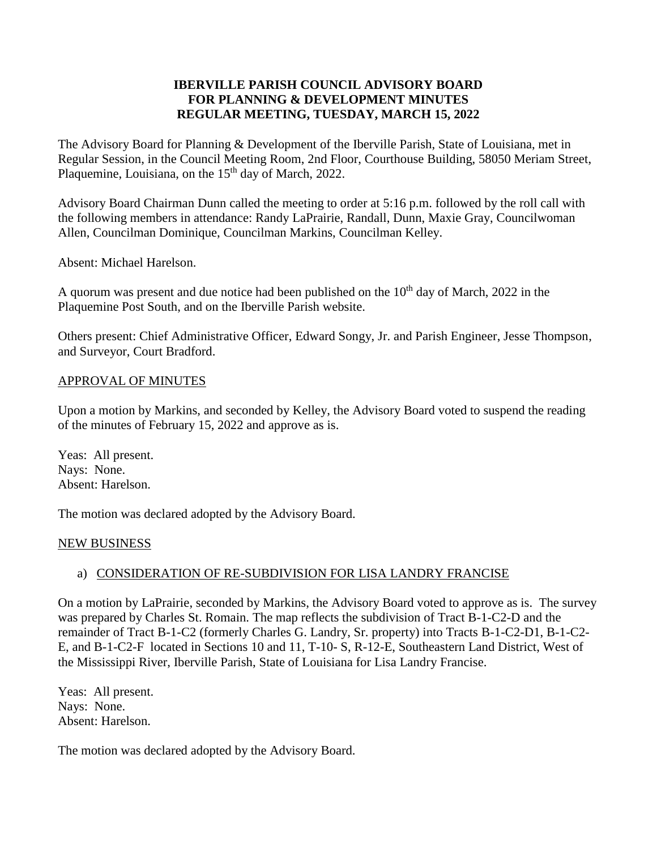### **IBERVILLE PARISH COUNCIL ADVISORY BOARD FOR PLANNING & DEVELOPMENT MINUTES REGULAR MEETING, TUESDAY, MARCH 15, 2022**

The Advisory Board for Planning & Development of the Iberville Parish, State of Louisiana, met in Regular Session, in the Council Meeting Room, 2nd Floor, Courthouse Building, 58050 Meriam Street, Plaquemine, Louisiana, on the 15<sup>th</sup> day of March, 2022.

Advisory Board Chairman Dunn called the meeting to order at 5:16 p.m. followed by the roll call with the following members in attendance: Randy LaPrairie, Randall, Dunn, Maxie Gray, Councilwoman Allen, Councilman Dominique, Councilman Markins, Councilman Kelley.

Absent: Michael Harelson.

A quorum was present and due notice had been published on the  $10<sup>th</sup>$  day of March, 2022 in the Plaquemine Post South, and on the Iberville Parish website.

Others present: Chief Administrative Officer, Edward Songy, Jr. and Parish Engineer, Jesse Thompson, and Surveyor, Court Bradford.

#### APPROVAL OF MINUTES

Upon a motion by Markins, and seconded by Kelley, the Advisory Board voted to suspend the reading of the minutes of February 15, 2022 and approve as is.

Yeas: All present. Nays: None. Absent: Harelson.

The motion was declared adopted by the Advisory Board.

#### NEW BUSINESS

## a) CONSIDERATION OF RE-SUBDIVISION FOR LISA LANDRY FRANCISE

On a motion by LaPrairie, seconded by Markins, the Advisory Board voted to approve as is. The survey was prepared by Charles St. Romain. The map reflects the subdivision of Tract B-1-C2-D and the remainder of Tract B-1-C2 (formerly Charles G. Landry, Sr. property) into Tracts B-1-C2-D1, B-1-C2- E, and B-1-C2-F located in Sections 10 and 11, T-10- S, R-12-E, Southeastern Land District, West of the Mississippi River, Iberville Parish, State of Louisiana for Lisa Landry Francise.

Yeas: All present. Nays: None. Absent: Harelson.

The motion was declared adopted by the Advisory Board.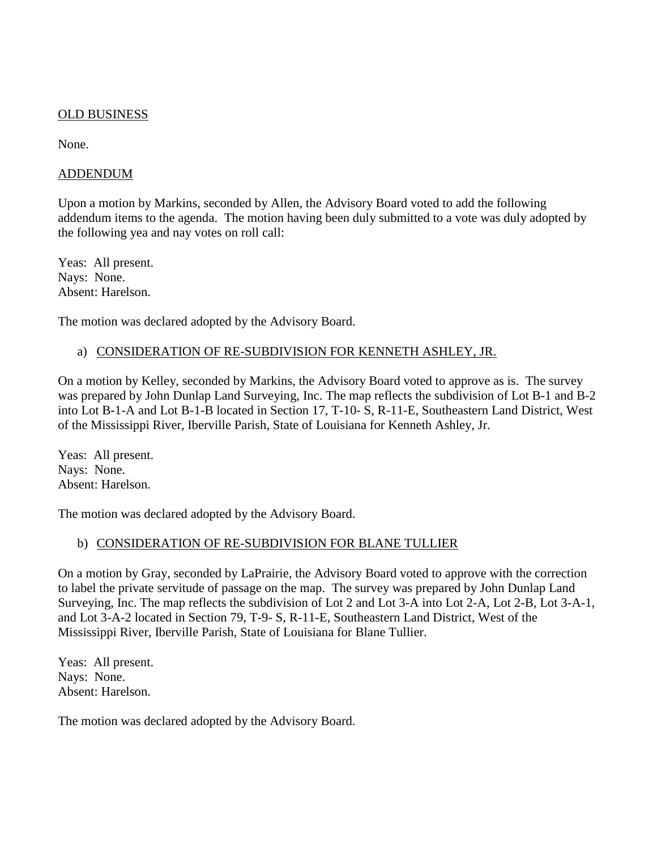### OLD BUSINESS

None.

#### ADDENDUM

Upon a motion by Markins, seconded by Allen, the Advisory Board voted to add the following addendum items to the agenda. The motion having been duly submitted to a vote was duly adopted by the following yea and nay votes on roll call:

Yeas: All present. Nays: None. Absent: Harelson.

The motion was declared adopted by the Advisory Board.

#### a) CONSIDERATION OF RE-SUBDIVISION FOR KENNETH ASHLEY, JR.

On a motion by Kelley, seconded by Markins, the Advisory Board voted to approve as is. The survey was prepared by John Dunlap Land Surveying, Inc. The map reflects the subdivision of Lot B-1 and B-2 into Lot B-1-A and Lot B-1-B located in Section 17, T-10- S, R-11-E, Southeastern Land District, West of the Mississippi River, Iberville Parish, State of Louisiana for Kenneth Ashley, Jr.

Yeas: All present. Nays: None. Absent: Harelson.

The motion was declared adopted by the Advisory Board.

## b) CONSIDERATION OF RE-SUBDIVISION FOR BLANE TULLIER

On a motion by Gray, seconded by LaPrairie, the Advisory Board voted to approve with the correction to label the private servitude of passage on the map. The survey was prepared by John Dunlap Land Surveying, Inc. The map reflects the subdivision of Lot 2 and Lot 3-A into Lot 2-A, Lot 2-B, Lot 3-A-1, and Lot 3-A-2 located in Section 79, T-9- S, R-11-E, Southeastern Land District, West of the Mississippi River, Iberville Parish, State of Louisiana for Blane Tullier.

Yeas: All present. Nays: None. Absent: Harelson.

The motion was declared adopted by the Advisory Board.